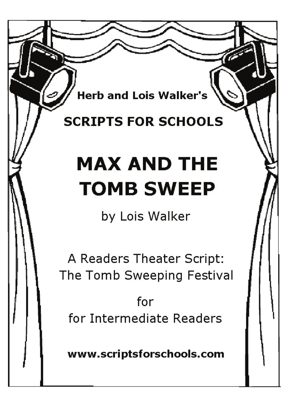**Herb and Lois Walker's** 

## **SCRIPTS FOR SCHOOLS**

## **MAX AND THE TOMB SWEEP**

by Lois Walker

A Readers Theater Script: The Tomb Sweeping Festival

for for Intermediate Readers

www.scriptsforschools.com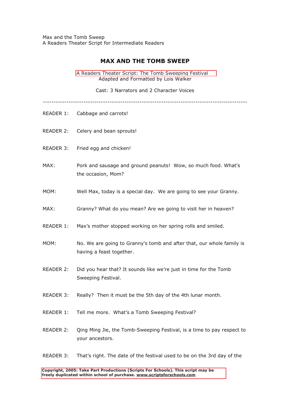Max and the Tomb Sweep A Readers Theater Script for Intermediate Readers

## **MAX AND THE TOMB SWEEP**

A Readers Theater Script: The Tomb Sweeping Festival Adapted and Formatted by Lois Walker

Cast: 3 Narrators and 2 Character Voices

-----------------------------------------------------------------------------------------------

- READER 1: Cabbage and carrots!
- READER 2: Celery and bean sprouts!
- READER 3: Fried egg and chicken!
- MAX: Pork and sausage and ground peanuts! Wow, so much food. What's the occasion, Mom?
- MOM: Well Max, today is a special day. We are going to see your Granny.
- MAX: Granny? What do you mean? Are we going to visit her in heaven?
- READER 1: Max's mother stopped working on her spring rolls and smiled.
- MOM: No. We are going to Granny's tomb and after that, our whole family is having a feast together.
- READER 2: Did you hear that? It sounds like we're just in time for the Tomb Sweeping Festival.
- READER 3: Really? Then it must be the 5th day of the 4th lunar month.
- READER 1: Tell me more. What's a Tomb Sweeping Festival?
- READER 2: Qing Ming Jie, the Tomb-Sweeping Festival, is a time to pay respect to your ancestors.
- READER 3: That's right. The date of the festival used to be on the 3rd day of the

freely duplicated within school of purchase. www.scriptsforschools.com **Copyright, 2005: Take Part Productions (Scripts For Schools). This script may be freely duplicated within school of purchase. www.scriptsforschools.com**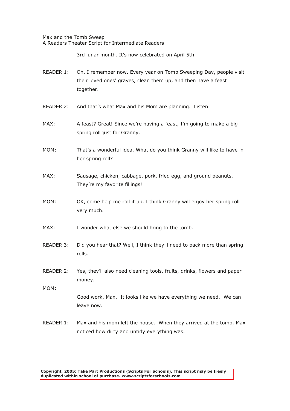Max and the Tomb Sweep A Readers Theater Script for Intermediate Readers

3rd lunar month. It's now celebrated on April 5th.

- READER 1: Oh, I remember now. Every year on Tomb Sweeping Day, people visit their loved ones' graves, clean them up, and then have a feast together.
- READER 2: And that's what Max and his Mom are planning. Listen…
- MAX: A feast? Great! Since we're having a feast, I'm going to make a big spring roll just for Granny.
- MOM: That's a wonderful idea. What do you think Granny will like to have in her spring roll?
- MAX: Sausage, chicken, cabbage, pork, fried egg, and ground peanuts. They're my favorite fillings!
- MOM: OK, come help me roll it up. I think Granny will enjoy her spring roll very much.
- MAX: I wonder what else we should bring to the tomb.
- READER 3: Did you hear that? Well, I think they'll need to pack more than spring rolls.
- READER 2: Yes, they'll also need cleaning tools, fruits, drinks, flowers and paper money.

MOM:

Good work, Max. It looks like we have everything we need. We can leave now.

READER 1: Max and his mom left the house. When they arrived at the tomb, Max noticed how dirty and untidy everything was.